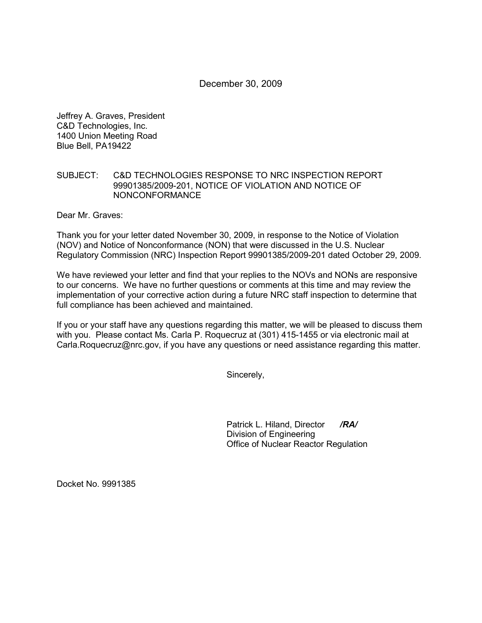# December 30, 2009

Jeffrey A. Graves, President C&D Technologies, Inc. 1400 Union Meeting Road Blue Bell, PA19422

### SUBJECT: C&D TECHNOLOGIES RESPONSE TO NRC INSPECTION REPORT 99901385/2009-201, NOTICE OF VIOLATION AND NOTICE OF NONCONFORMANCE

Dear Mr. Graves:

Thank you for your letter dated November 30, 2009, in response to the Notice of Violation (NOV) and Notice of Nonconformance (NON) that were discussed in the U.S. Nuclear Regulatory Commission (NRC) Inspection Report 99901385/2009-201 dated October 29, 2009.

We have reviewed your letter and find that your replies to the NOVs and NONs are responsive to our concerns. We have no further questions or comments at this time and may review the implementation of your corrective action during a future NRC staff inspection to determine that full compliance has been achieved and maintained.

If you or your staff have any questions regarding this matter, we will be pleased to discuss them with you. Please contact Ms. Carla P. Roquecruz at (301) 415-1455 or via electronic mail at Carla.Roquecruz@nrc.gov, if you have any questions or need assistance regarding this matter.

Sincerely,

Patrick L. Hiland, Director */RA/* Division of Engineering Office of Nuclear Reactor Regulation

Docket No. 9991385